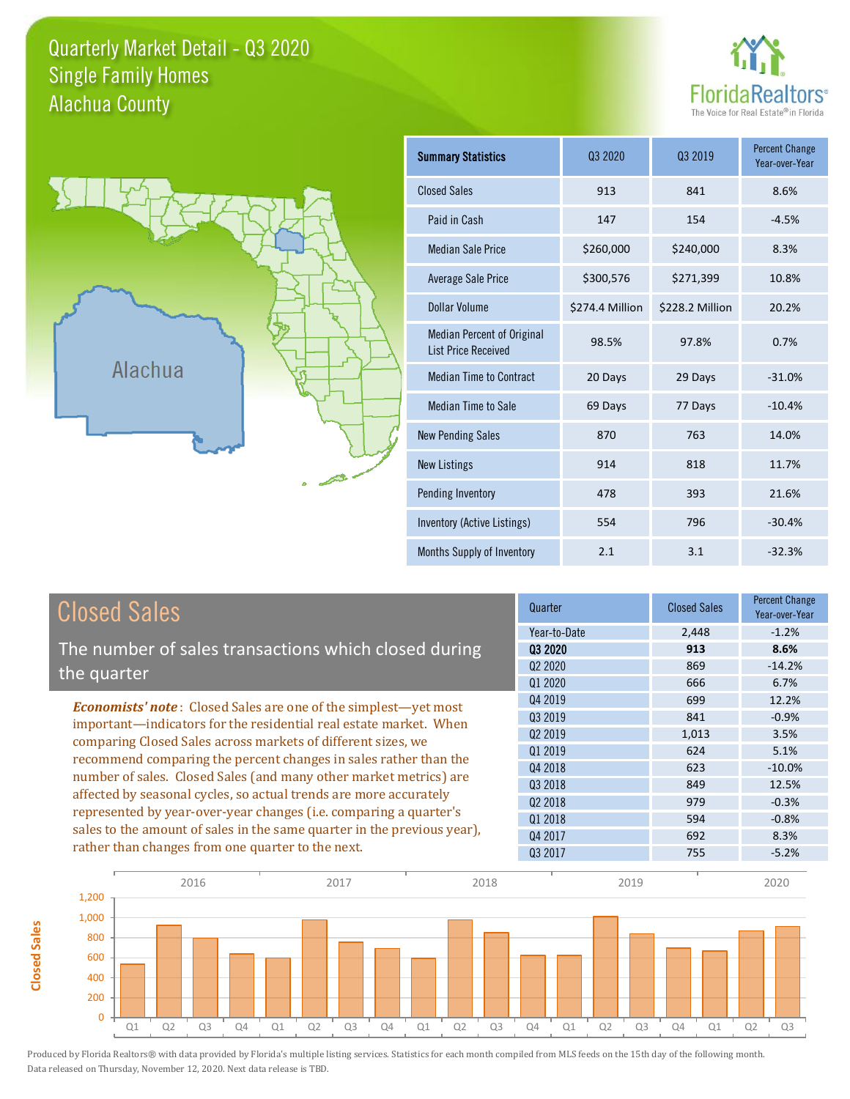#### Quarterly Market Detail - Q3 2020 Alachua County Single Family Homes





**Closed Sales**

**Closed Sales** 

| <b>Summary Statistics</b>                                       | 03 2020         | 03 2019         | <b>Percent Change</b><br>Year-over-Year |
|-----------------------------------------------------------------|-----------------|-----------------|-----------------------------------------|
| <b>Closed Sales</b>                                             | 913             | 841             | 8.6%                                    |
| Paid in Cash                                                    | 147             | 154             | $-4.5%$                                 |
| <b>Median Sale Price</b>                                        | \$260,000       | \$240,000       | 8.3%                                    |
| Average Sale Price                                              | \$300,576       | \$271,399       | 10.8%                                   |
| Dollar Volume                                                   | \$274.4 Million | \$228.2 Million | 20.2%                                   |
| <b>Median Percent of Original</b><br><b>List Price Received</b> | 98.5%           | 97.8%           | 0.7%                                    |
| <b>Median Time to Contract</b>                                  | 20 Days         | 29 Days         | $-31.0%$                                |
| <b>Median Time to Sale</b>                                      | 69 Days         | 77 Days         | $-10.4%$                                |
| <b>New Pending Sales</b>                                        | 870             | 763             | 14.0%                                   |
| <b>New Listings</b>                                             | 914             | 818             | 11.7%                                   |
| Pending Inventory                                               | 478             | 393             | 21.6%                                   |
| Inventory (Active Listings)                                     | 554             | 796             | $-30.4%$                                |
| Months Supply of Inventory                                      | 2.1             | 3.1             | $-32.3%$                                |

| <b>Closed Sales</b>                                                     | Quarter             | <b>Closed Sales</b> | <b>Percent Change</b><br>Year-over-Year |
|-------------------------------------------------------------------------|---------------------|---------------------|-----------------------------------------|
|                                                                         | Year-to-Date        | 2.448               | $-1.2%$                                 |
| The number of sales transactions which closed during                    | 03 2020             | 913                 | 8.6%                                    |
| the quarter                                                             | Q <sub>2</sub> 2020 | 869                 | $-14.2%$                                |
|                                                                         | Q1 2020             | 666                 | 6.7%                                    |
| <b>Economists' note:</b> Closed Sales are one of the simplest—yet most  | Q4 2019             | 699                 | 12.2%                                   |
| important—indicators for the residential real estate market. When       | Q3 2019             | 841                 | $-0.9%$                                 |
| comparing Closed Sales across markets of different sizes, we            | Q <sub>2</sub> 2019 | 1,013               | 3.5%                                    |
| recommend comparing the percent changes in sales rather than the        | 01 2019             | 624                 | 5.1%                                    |
| number of sales. Closed Sales (and many other market metrics) are       | Q4 2018             | 623                 | $-10.0\%$                               |
|                                                                         | Q3 2018             | 849                 | 12.5%                                   |
| affected by seasonal cycles, so actual trends are more accurately       | Q <sub>2</sub> 2018 | 979                 | $-0.3%$                                 |
| represented by year-over-year changes (i.e. comparing a quarter's       | 01 2018             | 594                 | $-0.8%$                                 |
| sales to the amount of sales in the same quarter in the previous year), | Q4 2017             | 692                 | 8.3%                                    |
| rather than changes from one quarter to the next.                       | Q3 2017             | 755                 | $-5.2%$                                 |

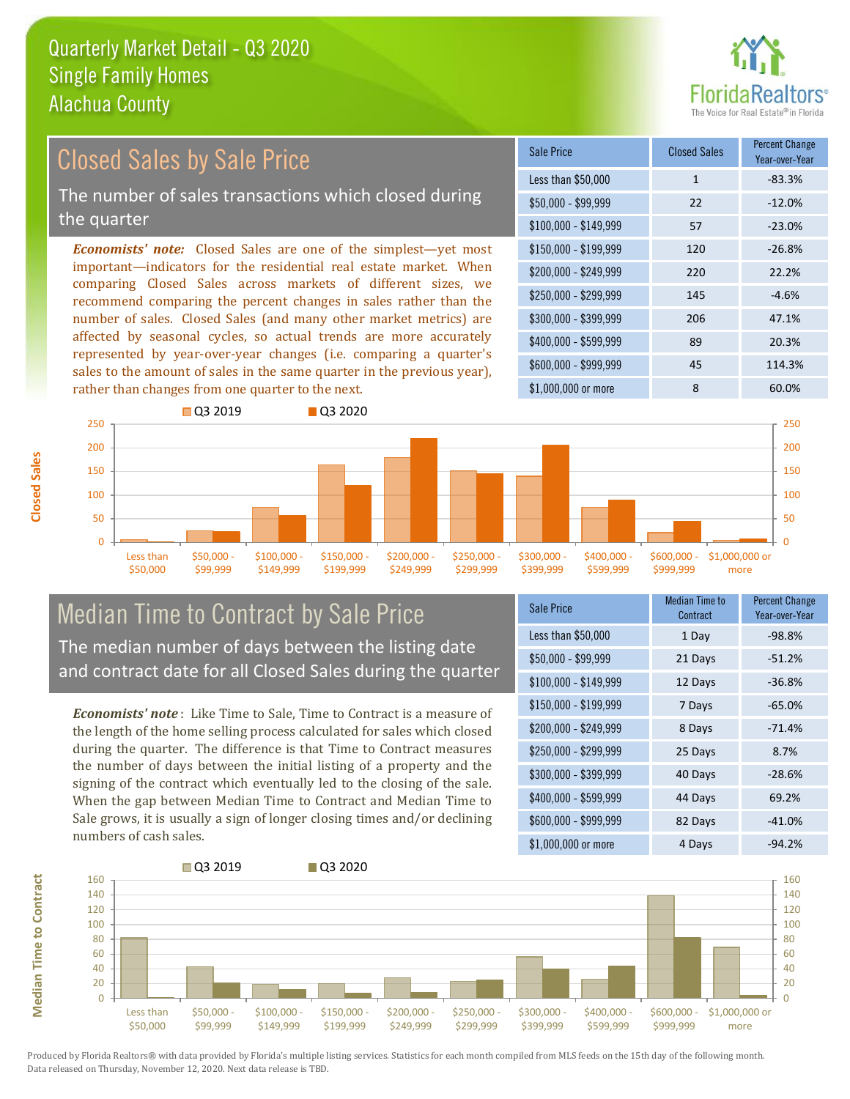

#### *Economists' note:* Closed Sales are one of the simplest—yet most important—indicators for the residential real estate market. When comparing Closed Sales across markets of different sizes, we recommend comparing the percent changes in sales rather than the number of sales. Closed Sales (and many other market metrics) are affected by seasonal cycles, so actual trends are more accurately represented by year-over-year changes (i.e. comparing a quarter's sales to the amount of sales in the same quarter in the previous year), rather than changes from one quarter to the next. \$1,000,000 or more 8 60,0% \$250,000 - \$299,999 145 -4.6% \$300,000 - \$399,999 206 47.1% \$400,000 - \$599,999 89 20.3% \$600,000 - \$999,999 45 114.3% \$150,000 - \$199,999 120 -26.8% \$200,000 - \$249,999 220 22.2% \$100,000 - \$149,999 57 -23.0% Sale Price Closed Sales Percent Change Year-over-Year Less than \$50,000 1 1 -83.3%  $$50.000 - $99.999$  22 -12.0% 250 **Q3 2019** Q3 2020 250 Closed Sales by Sale Price The number of sales transactions which closed during the quarter



### Median Time to Contract by Sale Price The median number of days between the listing date and contract date for all Closed Sales during the quarter

*Economists' note* : Like Time to Sale, Time to Contract is a measure of the length of the home selling process calculated for sales which closed during the quarter. The difference is that Time to Contract measures the number of days between the initial listing of a property and the signing of the contract which eventually led to the closing of the sale. When the gap between Median Time to Contract and Median Time to Sale grows, it is usually a sign of longer closing times and/or declining numbers of cash sales.

| Sale Price            | Median Time to<br>Contract | Percent Change<br>Year-over-Year |
|-----------------------|----------------------------|----------------------------------|
| Less than \$50,000    | 1 Day                      | $-98.8%$                         |
| $$50,000 - $99,999$   | 21 Days                    | $-51.2%$                         |
| $$100,000 - $149,999$ | 12 Days                    | $-36.8%$                         |
| $$150,000 - $199,999$ | 7 Days                     | $-65.0%$                         |
| \$200,000 - \$249,999 | 8 Days                     | $-71.4%$                         |
| \$250,000 - \$299,999 | 25 Days                    | 8.7%                             |
| \$300,000 - \$399,999 | 40 Days                    | $-28.6%$                         |
| \$400,000 - \$599,999 | 44 Days                    | 69.2%                            |
| \$600,000 - \$999,999 | 82 Days                    | $-41.0%$                         |
| \$1,000,000 or more   | 4 Days                     | -94.2%                           |



**Closed Sales**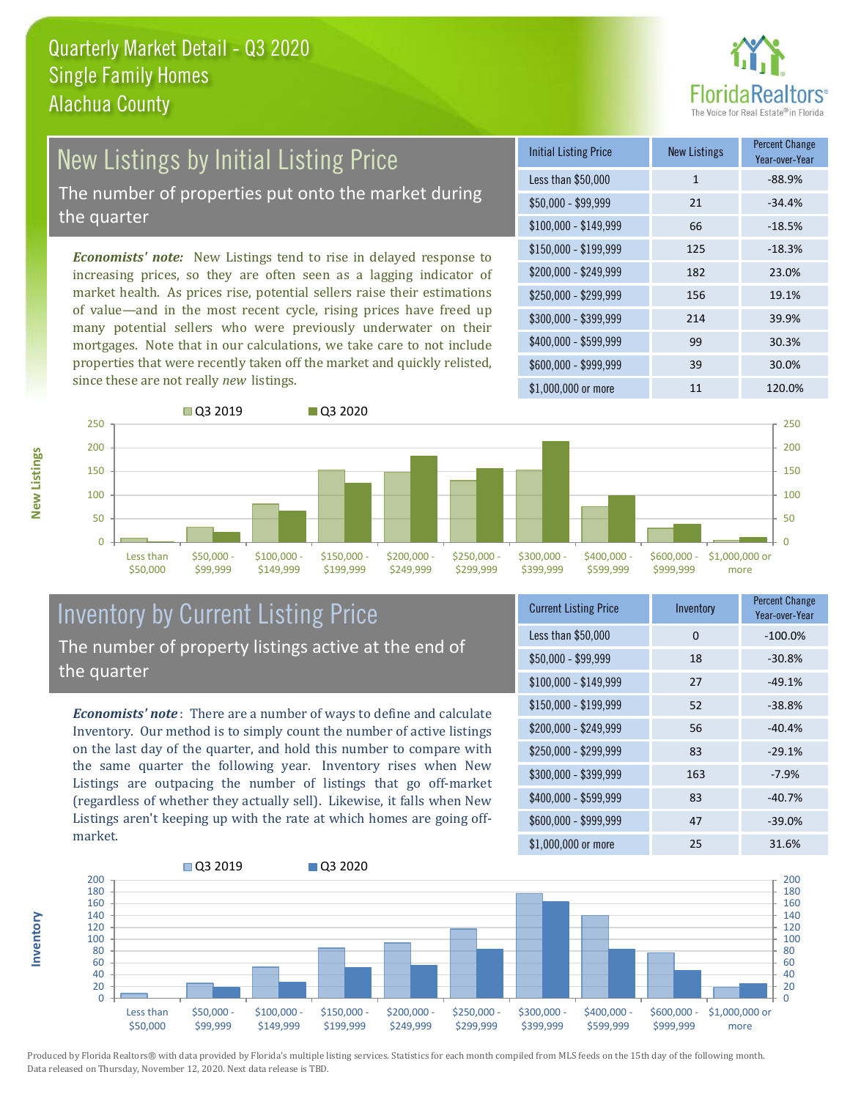

# New Listings by Initial Listing Price

The number of properties put onto the market during the quarter

*Economists' note:* New Listings tend to rise in delayed response to increasing prices, so they are often seen as a lagging indicator of market health. As prices rise, potential sellers raise their estimations of value—and in the most recent cycle, rising prices have freed up many potential sellers who were previously underwater on their mortgages. Note that in our calculations, we take care to not include properties that were recently taken off the market and quickly relisted, since these are not really *new* listings.

| <b>Initial Listing Price</b> | <b>New Listings</b> | <b>Percent Change</b><br>Year-over-Year |
|------------------------------|---------------------|-----------------------------------------|
| Less than \$50,000           | $\mathbf{1}$        | $-88.9%$                                |
| $$50,000 - $99,999$          | 21                  | $-34.4%$                                |
| $$100,000 - $149,999$        | 66                  | $-18.5%$                                |
| $$150,000 - $199,999$        | 125                 | $-18.3%$                                |
| $$200,000 - $249,999$        | 182                 | 23.0%                                   |
| \$250,000 - \$299,999        | 156                 | 19.1%                                   |
| \$300,000 - \$399,999        | 214                 | 39.9%                                   |
| \$400,000 - \$599,999        | 99                  | 30.3%                                   |
| \$600,000 - \$999,999        | 39                  | 30.0%                                   |
| \$1,000,000 or more          | 11                  | 120.0%                                  |



# Inventory by Current Listing Price

*Economists' note* : There are a number of ways to define and calculate Inventory. Our method is to simply count the number of active listings on the last day of the quarter, and hold this number to compare with the same quarter the following year. Inventory rises when New Listings are outpacing the number of listings that go off-market (regardless of whether they actually sell). Likewise, it falls when New Listings aren't keeping up with the rate at which homes are going offmarket.

| <b>Current Listing Price</b> | Inventory | <b>Percent Change</b><br>Year-over-Year |
|------------------------------|-----------|-----------------------------------------|
| Less than \$50,000           | 0         | $-100.0%$                               |
| $$50,000 - $99,999$          | 18        | $-30.8%$                                |
| $$100,000 - $149,999$        | 27        | $-49.1%$                                |
| $$150,000 - $199,999$        | 52        | $-38.8%$                                |
| \$200,000 - \$249,999        | 56        | $-40.4%$                                |
| \$250,000 - \$299,999        | 83        | $-29.1%$                                |
| \$300,000 - \$399,999        | 163       | $-7.9%$                                 |
| \$400,000 - \$599,999        | 83        | $-40.7%$                                |
| \$600,000 - \$999,999        | 47        | $-39.0%$                                |
| \$1,000,000 or more          | 25        | 31.6%                                   |



**New Listings**

**Inventory**

The number of property listings active at the end of the quarter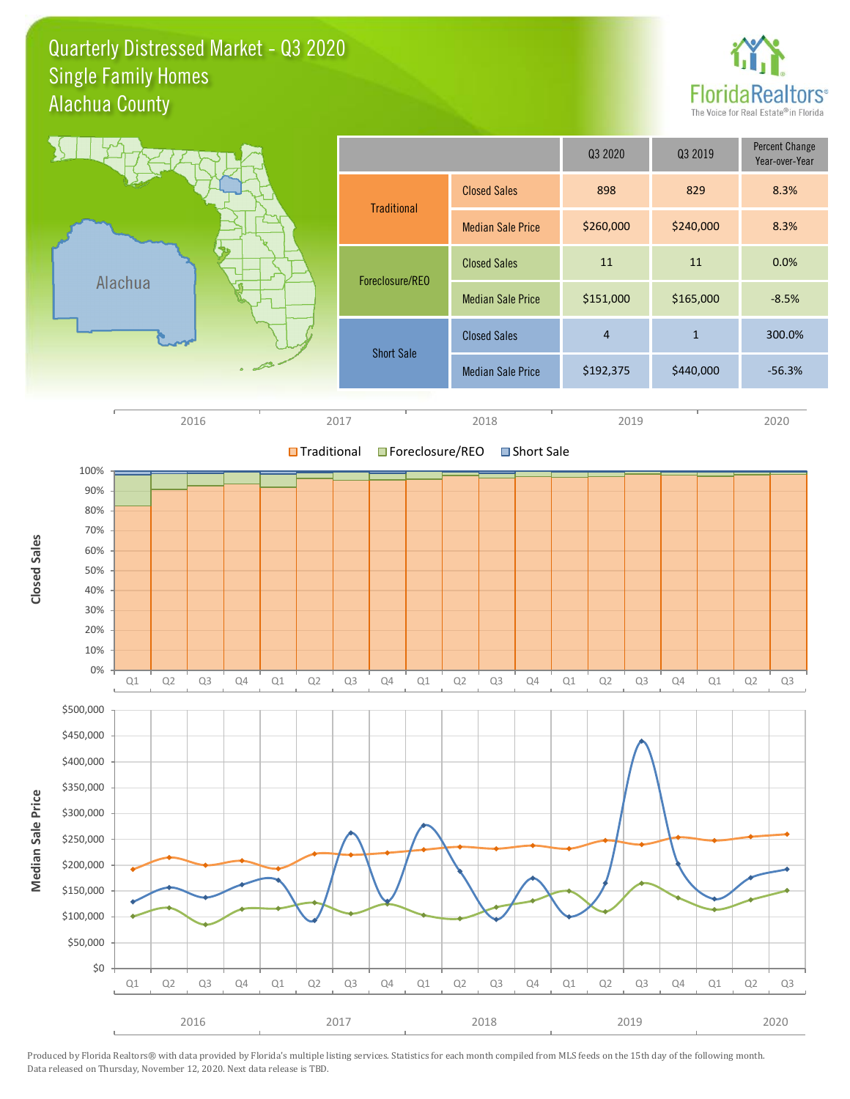Quarterly Distressed Market - Q3 2020 Alachua County Single Family Homes



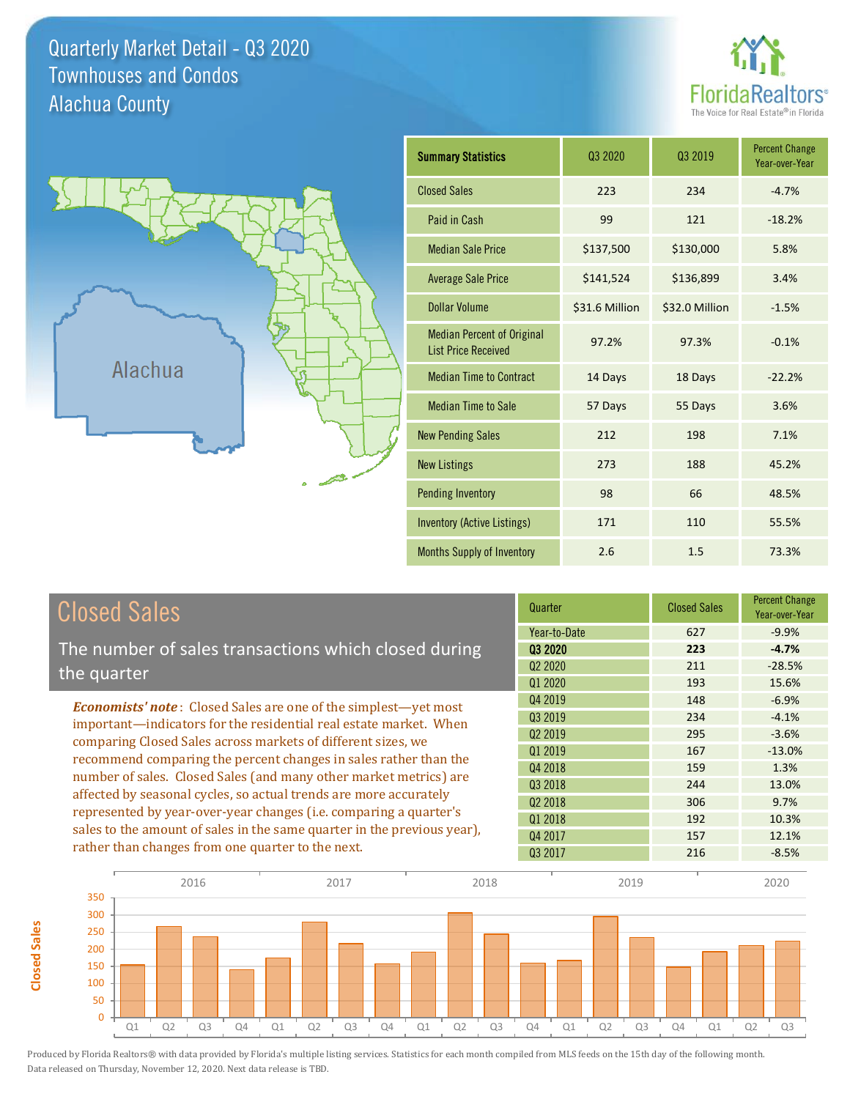Quarterly Market Detail - Q3 2020 Alachua County Townhouses and Condos





**Closed Sales**

**Closed Sales** 

| <b>Summary Statistics</b>                                       | 03 2020        | 03 2019        | <b>Percent Change</b><br>Year-over-Year |
|-----------------------------------------------------------------|----------------|----------------|-----------------------------------------|
| <b>Closed Sales</b>                                             | 223            | 234            | $-4.7%$                                 |
| Paid in Cash                                                    | 99             | 121            | $-18.2%$                                |
| <b>Median Sale Price</b>                                        | \$137,500      | \$130,000      | 5.8%                                    |
| <b>Average Sale Price</b>                                       | \$141,524      | \$136,899      | 3.4%                                    |
| <b>Dollar Volume</b>                                            | \$31.6 Million | \$32.0 Million | $-1.5%$                                 |
| <b>Median Percent of Original</b><br><b>List Price Received</b> | 97.2%          | 97.3%          | $-0.1%$                                 |
| <b>Median Time to Contract</b>                                  | 14 Days        | 18 Days        | $-22.2%$                                |
| <b>Median Time to Sale</b>                                      | 57 Days        | 55 Days        | 3.6%                                    |
| <b>New Pending Sales</b>                                        | 212            | 198            | 7.1%                                    |
| <b>New Listings</b>                                             | 273            | 188            | 45.2%                                   |
| Pending Inventory                                               | 98             | 66             | 48.5%                                   |
| <b>Inventory (Active Listings)</b>                              | 171            | 110            | 55.5%                                   |
| Months Supply of Inventory                                      | 2.6            | 1.5            | 73.3%                                   |

| <b>Closed Sales</b>                                                                                                                                                                                   | Quarter             | <b>Closed Sales</b> | <b>Percent Change</b><br>Year-over-Year |
|-------------------------------------------------------------------------------------------------------------------------------------------------------------------------------------------------------|---------------------|---------------------|-----------------------------------------|
|                                                                                                                                                                                                       | Year-to-Date        | 627                 | $-9.9%$                                 |
| The number of sales transactions which closed during                                                                                                                                                  | 03 2020             | 223                 | $-4.7%$                                 |
| the quarter                                                                                                                                                                                           | Q <sub>2</sub> 2020 | 211                 | $-28.5%$                                |
|                                                                                                                                                                                                       | 01 2020             | 193                 | 15.6%                                   |
| <b>Economists' note:</b> Closed Sales are one of the simplest—yet most                                                                                                                                | Q4 2019             | 148                 | $-6.9%$                                 |
| important—indicators for the residential real estate market. When                                                                                                                                     | Q3 2019             | 234                 | $-4.1%$                                 |
| comparing Closed Sales across markets of different sizes, we<br>recommend comparing the percent changes in sales rather than the<br>number of sales. Closed Sales (and many other market metrics) are | 02 2019             | 295                 | $-3.6%$                                 |
|                                                                                                                                                                                                       | Q1 2019             | 167                 | $-13.0%$                                |
|                                                                                                                                                                                                       | Q4 2018             | 159                 | 1.3%                                    |
| affected by seasonal cycles, so actual trends are more accurately                                                                                                                                     | 03 2018             | 244                 | 13.0%                                   |
| represented by year-over-year changes (i.e. comparing a quarter's                                                                                                                                     | Q <sub>2</sub> 2018 | 306                 | 9.7%                                    |
|                                                                                                                                                                                                       | Q1 2018             | 192                 | 10.3%                                   |
| sales to the amount of sales in the same quarter in the previous year),                                                                                                                               | Q4 2017             | 157                 | 12.1%                                   |
| rather than changes from one quarter to the next.                                                                                                                                                     | 03 2017             | 216                 | $-8.5%$                                 |

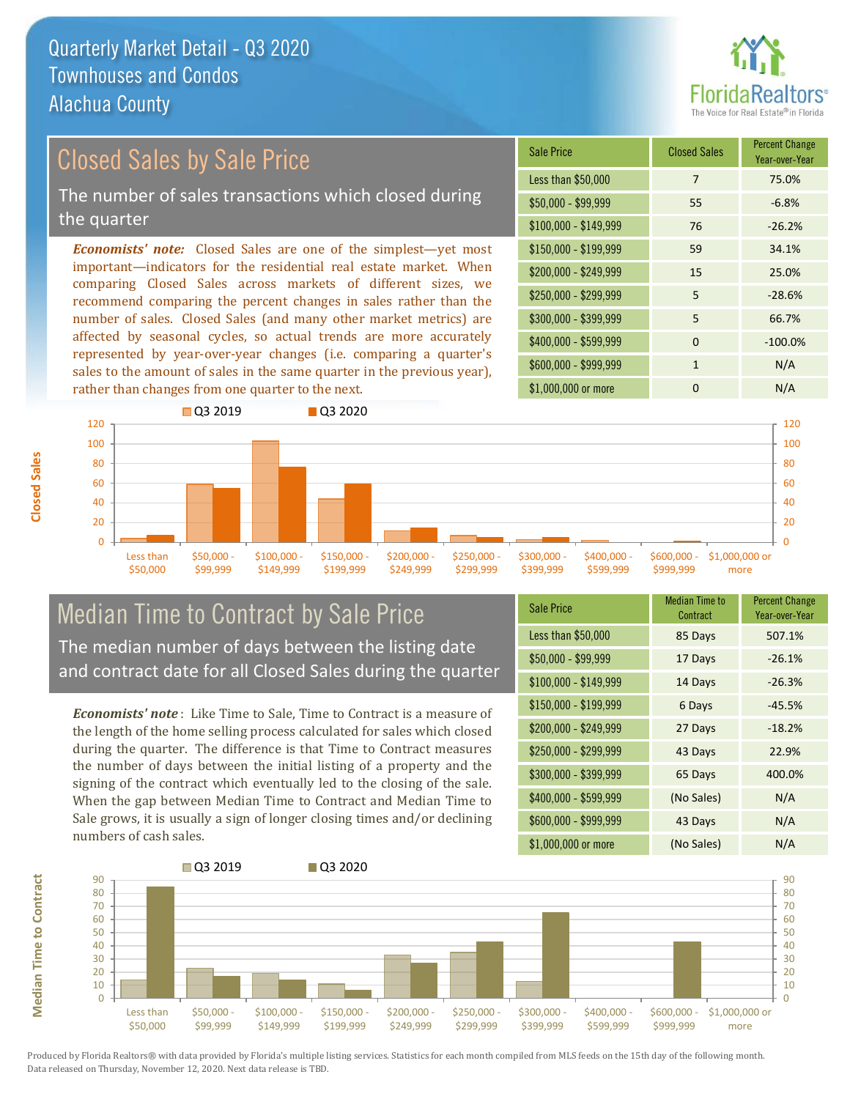

## Closed Sales by Sale Price

The number of sales transactions which closed during the quarter

*Economists' note:* Closed Sales are one of the simplest—yet most important—indicators for the residential real estate market. When comparing Closed Sales across markets of different sizes, we recommend comparing the percent changes in sales rather than the number of sales. Closed Sales (and many other market metrics) are affected by seasonal cycles, so actual trends are more accurately represented by year-over-year changes (i.e. comparing a quarter's sales to the amount of sales in the same quarter in the previous year), rather than changes from one quarter to the next.

| Sale Price            | <b>Closed Sales</b> | <b>Percent Change</b><br>Year-over-Year |
|-----------------------|---------------------|-----------------------------------------|
| Less than \$50,000    | 7                   | 75.0%                                   |
| $$50,000 - $99,999$   | 55                  | $-6.8%$                                 |
| $$100,000 - $149,999$ | 76                  | $-26.2%$                                |
| $$150,000 - $199,999$ | 59                  | 34.1%                                   |
| \$200,000 - \$249,999 | 15                  | 25.0%                                   |
| \$250,000 - \$299,999 | 5                   | $-28.6%$                                |
| \$300,000 - \$399,999 | 5                   | 66.7%                                   |
| \$400,000 - \$599,999 | $\Omega$            | $-100.0%$                               |
| \$600,000 - \$999,999 | 1                   | N/A                                     |
| \$1,000,000 or more   | n                   | N/A                                     |



#### Median Time to Contract by Sale Price The median number of days between the listing date and contract date for all Closed Sales during the quarter

*Economists' note* : Like Time to Sale, Time to Contract is a measure of the length of the home selling process calculated for sales which closed during the quarter. The difference is that Time to Contract measures the number of days between the initial listing of a property and the signing of the contract which eventually led to the closing of the sale. When the gap between Median Time to Contract and Median Time to Sale grows, it is usually a sign of longer closing times and/or declining numbers of cash sales.

| <b>Sale Price</b>     | Median Time to<br>Contract | <b>Percent Change</b><br>Year-over-Year |
|-----------------------|----------------------------|-----------------------------------------|
| Less than \$50,000    | 85 Days                    | 507.1%                                  |
| $$50,000 - $99,999$   | 17 Days                    | $-26.1%$                                |
| $$100,000 - $149,999$ | 14 Days                    | $-26.3%$                                |
| $$150,000 - $199,999$ | 6 Days                     | $-45.5%$                                |
| \$200,000 - \$249,999 | 27 Days                    | $-18.2%$                                |
| \$250,000 - \$299,999 | 43 Days                    | 22.9%                                   |
| \$300,000 - \$399,999 | 65 Days                    | 400.0%                                  |
| \$400,000 - \$599,999 | (No Sales)                 | N/A                                     |
| \$600,000 - \$999,999 | 43 Days                    | N/A                                     |
| \$1,000,000 or more   | (No Sales)                 | N/A                                     |

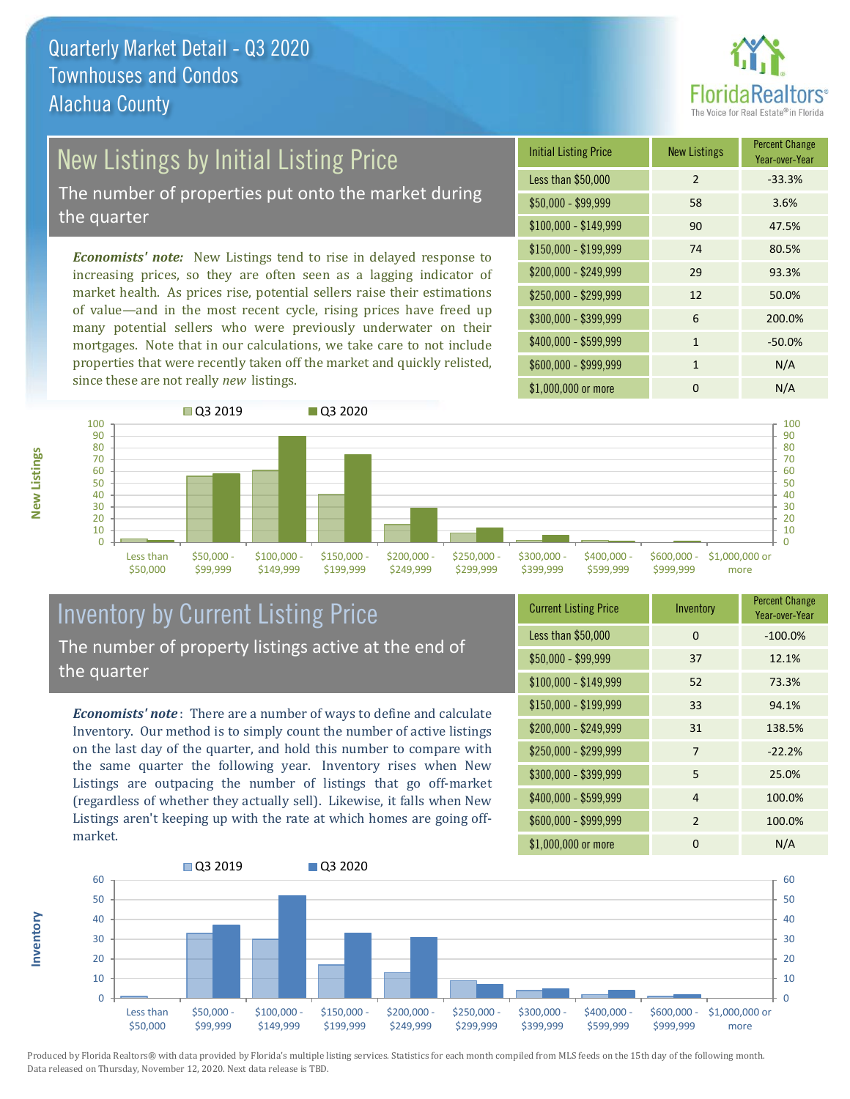

## New Listings by Initial Listing Price

The number of properties put onto the market during the quarter

*Economists' note:* New Listings tend to rise in delayed response to increasing prices, so they are often seen as a lagging indicator of market health. As prices rise, potential sellers raise their estimations of value—and in the most recent cycle, rising prices have freed up many potential sellers who were previously underwater on their mortgages. Note that in our calculations, we take care to not include properties that were recently taken off the market and quickly relisted, since these are not really *new* listings.

| <b>Initial Listing Price</b> | <b>New Listings</b> | <b>Percent Change</b><br>Year-over-Year |
|------------------------------|---------------------|-----------------------------------------|
| Less than \$50,000           | $\overline{2}$      | $-33.3%$                                |
| $$50,000 - $99,999$          | 58                  | 3.6%                                    |
| $$100,000 - $149,999$        | 90                  | 47.5%                                   |
| $$150,000 - $199,999$        | 74                  | 80.5%                                   |
| \$200,000 - \$249,999        | 29                  | 93.3%                                   |
| \$250,000 - \$299,999        | 12                  | 50.0%                                   |
| \$300,000 - \$399,999        | 6                   | 200.0%                                  |
| \$400,000 - \$599,999        | $\mathbf{1}$        | $-50.0%$                                |
| \$600,000 - \$999,999        | 1                   | N/A                                     |
| \$1,000,000 or more          | n                   | N/A                                     |



#### Inventory by Current Listing Price The number of property listings active at the end of the quarter

*Economists' note* : There are a number of ways to define and calculate Inventory. Our method is to simply count the number of active listings on the last day of the quarter, and hold this number to compare with the same quarter the following year. Inventory rises when New Listings are outpacing the number of listings that go off-market (regardless of whether they actually sell). Likewise, it falls when New Listings aren't keeping up with the rate at which homes are going offmarket.

| <b>Current Listing Price</b> | Inventory | <b>Percent Change</b><br>Year-over-Year |
|------------------------------|-----------|-----------------------------------------|
| Less than \$50,000           | $\Omega$  | $-100.0%$                               |
| $$50,000 - $99,999$          | 37        | 12.1%                                   |
| $$100,000 - $149,999$        | 52        | 73.3%                                   |
| $$150,000 - $199,999$        | 33        | 94.1%                                   |
| \$200,000 - \$249,999        | 31        | 138.5%                                  |
| \$250,000 - \$299,999        | 7         | $-22.2%$                                |
| \$300,000 - \$399,999        | 5         | 25.0%                                   |
| \$400,000 - \$599,999        | 4         | 100.0%                                  |
| \$600,000 - \$999,999        | 2         | 100.0%                                  |
| \$1,000,000 or more          | 0         | N/A                                     |



Produced by Florida Realtors® with data provided by Florida's multiple listing services. Statistics for each month compiled from MLS feeds on the 15th day of the following month. Data released on Thursday, November 12, 2020. Next data release is TBD.

**Inventory**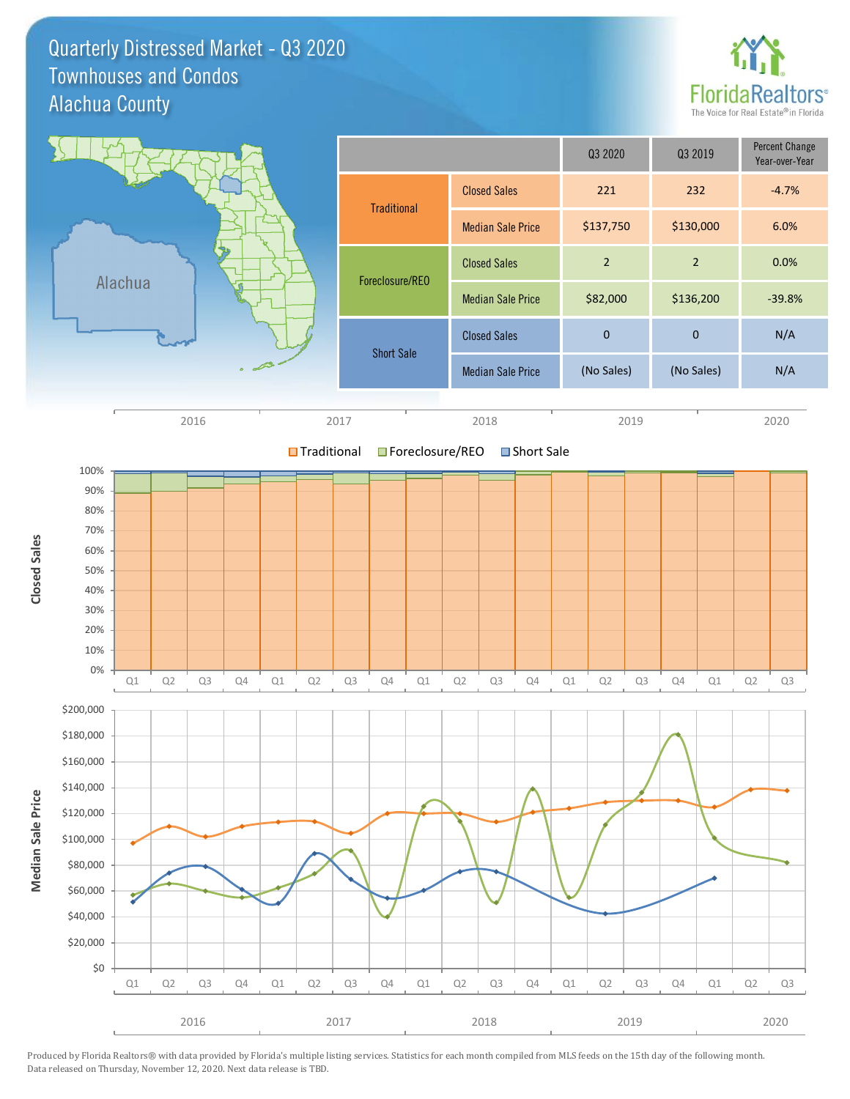Quarterly Distressed Market - Q3 2020 Alachua County Townhouses and Condos



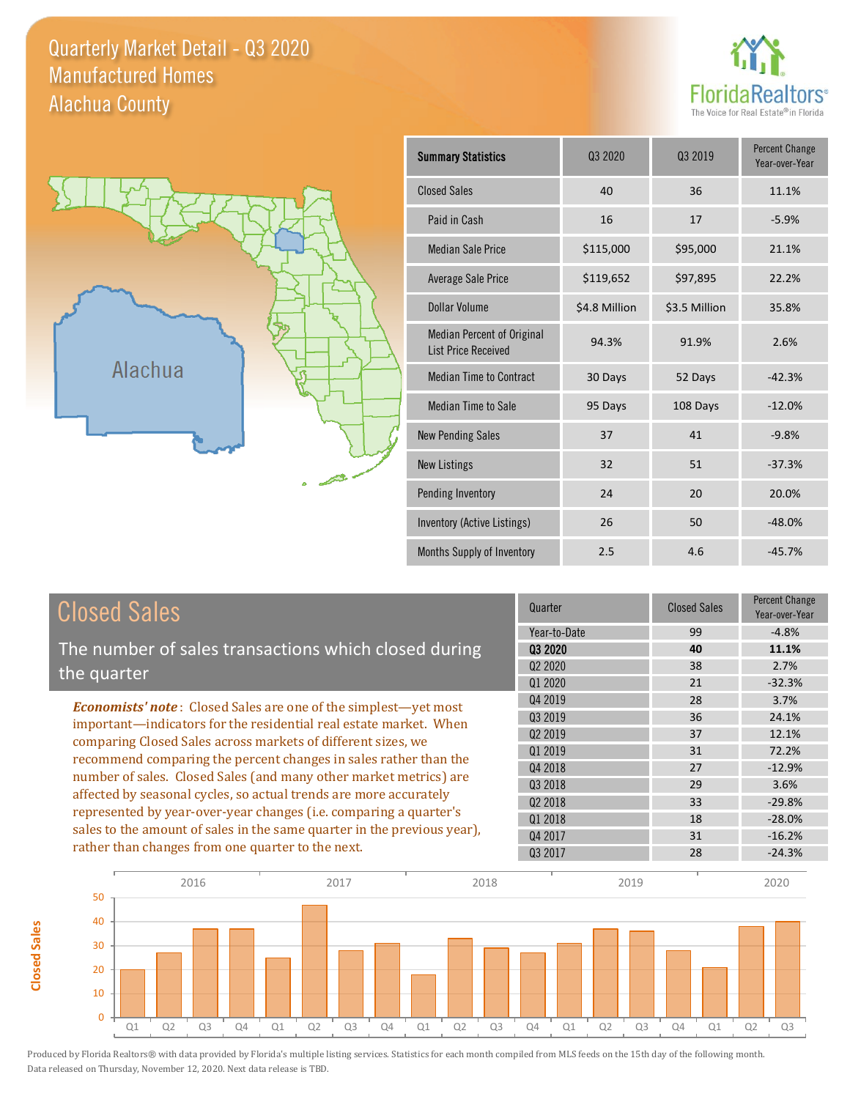Quarterly Market Detail - Q3 2020 Alachua County Manufactured Homes





**Closed Sales**

**Closed Sales** 

| <b>Summary Statistics</b>                                       | 03 2020       | Q3 2019       | <b>Percent Change</b><br>Year-over-Year |
|-----------------------------------------------------------------|---------------|---------------|-----------------------------------------|
| <b>Closed Sales</b>                                             | 40            | 36            | 11.1%                                   |
| Paid in Cash                                                    | 16            | 17            | $-5.9%$                                 |
| <b>Median Sale Price</b>                                        | \$115,000     | \$95,000      | 21.1%                                   |
| Average Sale Price                                              | \$119,652     | \$97,895      | 22.2%                                   |
| Dollar Volume                                                   | \$4.8 Million | \$3.5 Million | 35.8%                                   |
| <b>Median Percent of Original</b><br><b>List Price Received</b> | 94.3%         | 91.9%         | 2.6%                                    |
| <b>Median Time to Contract</b>                                  | 30 Days       | 52 Days       | $-42.3%$                                |
| Median Time to Sale                                             | 95 Days       | 108 Days      | $-12.0%$                                |
| <b>New Pending Sales</b>                                        | 37            | 41            | $-9.8%$                                 |
| <b>New Listings</b>                                             | 32            | 51            | $-37.3%$                                |
| Pending Inventory                                               | 24            | 20            | 20.0%                                   |
| Inventory (Active Listings)                                     | 26            | 50            | $-48.0%$                                |
| Months Supply of Inventory                                      | 2.5           | 4.6           | $-45.7%$                                |

| <b>Closed Sales</b>                                                                                                                                                                                         | Quarter             | <b>Closed Sales</b> | Percent Change<br>Year-over-Year |
|-------------------------------------------------------------------------------------------------------------------------------------------------------------------------------------------------------------|---------------------|---------------------|----------------------------------|
|                                                                                                                                                                                                             | Year-to-Date        | 99                  | $-4.8%$                          |
| The number of sales transactions which closed during                                                                                                                                                        | 03 2020             | 40                  | 11.1%                            |
| the quarter                                                                                                                                                                                                 | Q <sub>2</sub> 2020 | 38                  | 2.7%                             |
|                                                                                                                                                                                                             | 01 2020             | 21                  | $-32.3%$                         |
| <b>Economists' note:</b> Closed Sales are one of the simplest-yet most                                                                                                                                      | Q4 2019             | 28                  | 3.7%                             |
| important-indicators for the residential real estate market. When                                                                                                                                           | Q3 2019             | 36                  | 24.1%                            |
| comparing Closed Sales across markets of different sizes, we                                                                                                                                                | 02 2019             | 37                  | 12.1%                            |
| recommend comparing the percent changes in sales rather than the                                                                                                                                            | Q1 2019             | 31                  | 72.2%                            |
| number of sales. Closed Sales (and many other market metrics) are<br>affected by seasonal cycles, so actual trends are more accurately<br>represented by year-over-year changes (i.e. comparing a quarter's | Q4 2018             | 27                  | $-12.9%$                         |
|                                                                                                                                                                                                             | 03 2018             | 29                  | 3.6%                             |
|                                                                                                                                                                                                             | Q <sub>2</sub> 2018 | 33                  | $-29.8%$                         |
|                                                                                                                                                                                                             | Q1 2018             | 18                  | $-28.0%$                         |
| sales to the amount of sales in the same quarter in the previous year),                                                                                                                                     | Q4 2017             | 31                  | $-16.2%$                         |
| rather than changes from one quarter to the next.                                                                                                                                                           | 03 2017             | 28                  | $-24.3%$                         |

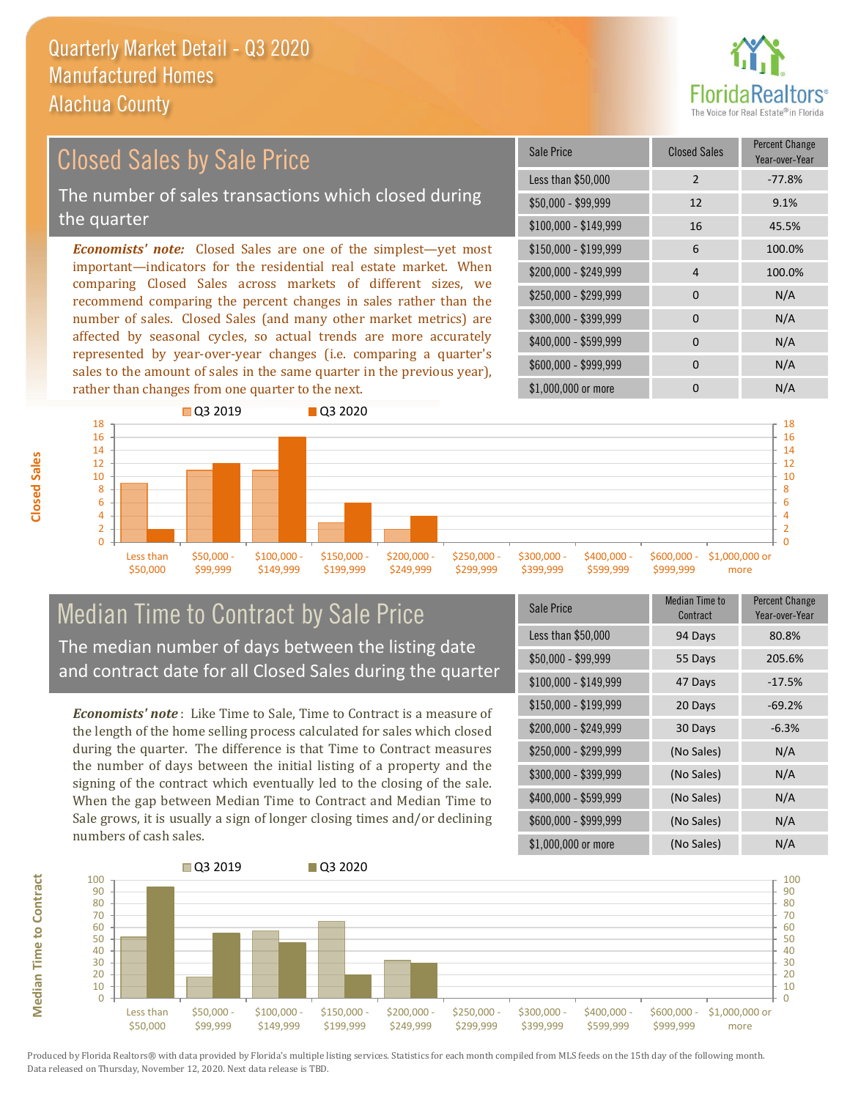

#### *Economists' note:* Closed Sales are one of the simplest—yet most important—indicators for the residential real estate market. When comparing Closed Sales across markets of different sizes, we recommend comparing the percent changes in sales rather than the number of sales. Closed Sales (and many other market metrics) are affected by seasonal cycles, so actual trends are more accurately \$250,000 - \$299,999 0 0 N/A \$300,000 - \$399,999 0 0 N/A  $$400,000 - $599,999$  0 N/A \$150,000 - \$199,999 6 100.0% \$200,000 - \$249,999 4 100.0% \$100,000 - \$149,999 16 45.5% Sale Price Closed Sales Percent Change Year-over-Year Less than \$50,000 2 -77.8% \$50,000 - \$99,999 12 9.1% Closed Sales by Sale Price The number of sales transactions which closed during the quarter



#### Median Time to Contract by Sale Price The median number of days between the listing date and contract date for all Closed Sales during the quarter

represented by year-over-year changes (i.e. comparing a quarter's sales to the amount of sales in the same quarter in the previous year),

*Economists' note* : Like Time to Sale, Time to Contract is a measure of the length of the home selling process calculated for sales which closed during the quarter. The difference is that Time to Contract measures the number of days between the initial listing of a property and the signing of the contract which eventually led to the closing of the sale. When the gap between Median Time to Contract and Median Time to Sale grows, it is usually a sign of longer closing times and/or declining numbers of cash sales.

| <b>Sale Price</b>     | <b>Median Time to</b><br>Contract | <b>Percent Change</b><br>Year-over-Year |
|-----------------------|-----------------------------------|-----------------------------------------|
| Less than \$50,000    | 94 Days                           | 80.8%                                   |
| $$50,000 - $99,999$   | 55 Days                           | 205.6%                                  |
| $$100,000 - $149,999$ | 47 Days                           | $-17.5%$                                |
| $$150,000 - $199,999$ | 20 Days                           | $-69.2%$                                |
| \$200,000 - \$249,999 | 30 Days                           | $-6.3%$                                 |
| \$250,000 - \$299,999 | (No Sales)                        | N/A                                     |
| \$300,000 - \$399,999 | (No Sales)                        | N/A                                     |
| \$400,000 - \$599,999 | (No Sales)                        | N/A                                     |
| \$600,000 - \$999,999 | (No Sales)                        | N/A                                     |
| \$1,000,000 or more   | (No Sales)                        | N/A                                     |

\$600,000 - \$999,999 0 0 N/A



**Closed Sales**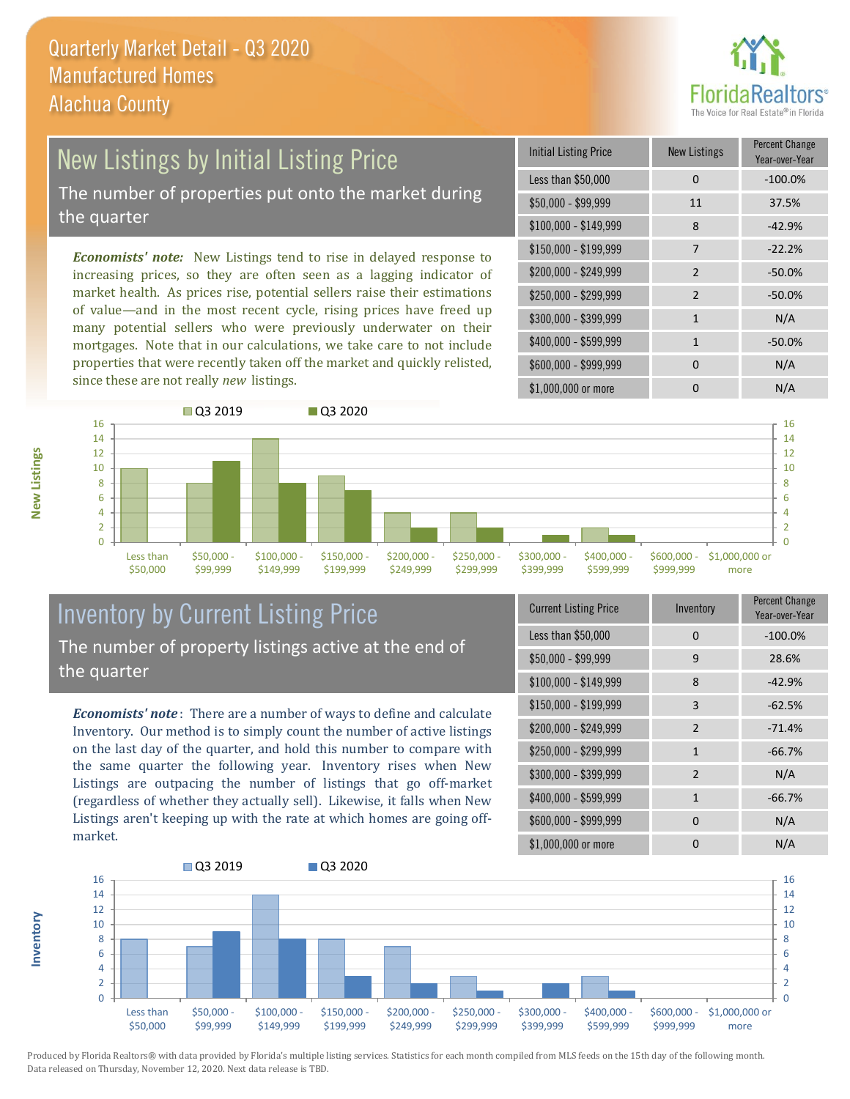

# New Listings by Initial Listing Price

The number of properties put onto the market during the quarter

*Economists' note:* New Listings tend to rise in delayed response to increasing prices, so they are often seen as a lagging indicator of market health. As prices rise, potential sellers raise their estimations of value—and in the most recent cycle, rising prices have freed up many potential sellers who were previously underwater on their mortgages. Note that in our calculations, we take care to not include properties that were recently taken off the market and quickly relisted, since these are not really *new* listings.

| Initial Listing Price | New Listings  | <b>Percent Change</b><br>Year-over-Year |
|-----------------------|---------------|-----------------------------------------|
| Less than \$50,000    | 0             | $-100.0%$                               |
| $$50,000 - $99,999$   | 11            | 37.5%                                   |
| \$100,000 - \$149,999 | 8             | $-42.9%$                                |
| \$150,000 - \$199,999 | 7             | $-22.2%$                                |
| \$200,000 - \$249,999 | $\mathcal{P}$ | $-50.0%$                                |
| \$250,000 - \$299,999 | $\mathcal{P}$ | $-50.0%$                                |
| \$300,000 - \$399,999 | 1             | N/A                                     |
| \$400,000 - \$599,999 | 1             | $-50.0%$                                |
| \$600,000 - \$999,999 | U             | N/A                                     |
| \$1,000,000 or more   |               | N/A                                     |



### Inventory by Current Listing Price The number of property listings active at the end of the quarter

*Economists' note* : There are a number of ways to define and calculate Inventory. Our method is to simply count the number of active listings on the last day of the quarter, and hold this number to compare with the same quarter the following year. Inventory rises when New Listings are outpacing the number of listings that go off-market (regardless of whether they actually sell). Likewise, it falls when New Listings aren't keeping up with the rate at which homes are going offmarket.

| <b>Current Listing Price</b> | Inventory     | Percent Change<br>Year-over-Year |
|------------------------------|---------------|----------------------------------|
| Less than \$50,000           | $\Omega$      | $-100.0%$                        |
| $$50,000 - $99,999$          | 9             | 28.6%                            |
| $$100,000 - $149,999$        | 8             | $-42.9%$                         |
| $$150,000 - $199,999$        | 3             | $-62.5%$                         |
| \$200,000 - \$249,999        | $\mathcal{P}$ | $-71.4%$                         |
| \$250,000 - \$299,999        | $\mathbf{1}$  | $-66.7%$                         |
| \$300,000 - \$399,999        | 2             | N/A                              |
| \$400,000 - \$599,999        | $\mathbf{1}$  | $-66.7%$                         |
| \$600,000 - \$999,999        | $\Omega$      | N/A                              |
| \$1,000,000 or more          |               | N/A                              |



Produced by Florida Realtors® with data provided by Florida's multiple listing services. Statistics for each month compiled from MLS feeds on the 15th day of the following month. Data released on Thursday, November 12, 2020. Next data release is TBD.

**Inventory**